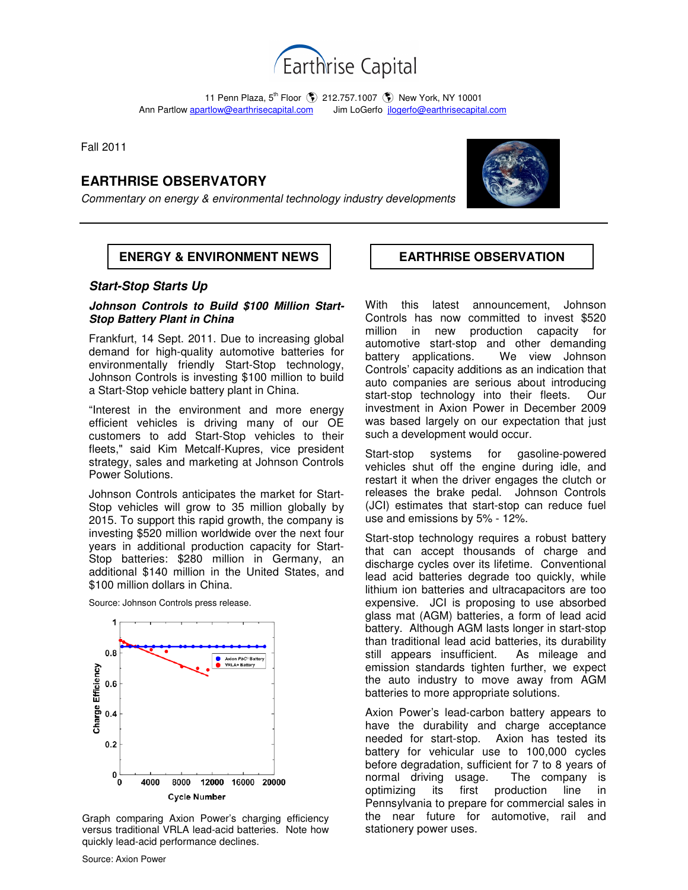

11 Penn Plaza, 5<sup>th</sup> Floor (\$) 212.757.1007 (\$) New York, NY 10001 Ann Partlow apartlow@earthrisecapital.comJim LoGerfo jlogerfo@earthrisecapital.com

Fall 2011

# **EARTHRISE OBSERVATORY**

Commentary on energy & environmental technology industry developments



## **ENERGY & ENVIRONMENT NEWS | EARTHRISE OBSERVATION**

### **Start-Stop Starts Up**

#### **Johnson Controls to Build \$100 Million Start-Stop Battery Plant in China**

Frankfurt, 14 Sept. 2011. Due to increasing global demand for high-quality automotive batteries for environmentally friendly Start-Stop technology, Johnson Controls is investing \$100 million to build a Start-Stop vehicle battery plant in China.

"Interest in the environment and more energy efficient vehicles is driving many of our OE customers to add Start-Stop vehicles to their fleets," said Kim Metcalf-Kupres, vice president strategy, sales and marketing at Johnson Controls Power Solutions.

Johnson Controls anticipates the market for Start-Stop vehicles will grow to 35 million globally by 2015. To support this rapid growth, the company is investing \$520 million worldwide over the next four years in additional production capacity for Start-Stop batteries: \$280 million in Germany, an additional \$140 million in the United States, and \$100 million dollars in China.

Source: Johnson Controls press release.



Graph comparing Axion Power's charging efficiency versus traditional VRLA lead-acid batteries. Note how quickly lead-acid performance declines.

With this latest announcement, Johnson Controls has now committed to invest \$520 million in new production capacity for automotive start-stop and other demanding battery applications. We view Johnson Controls' capacity additions as an indication that auto companies are serious about introducing start-stop technology into their fleets. Our investment in Axion Power in December 2009 was based largely on our expectation that just such a development would occur.

Start-stop systems for gasoline-powered vehicles shut off the engine during idle, and restart it when the driver engages the clutch or releases the brake pedal. Johnson Controls (JCI) estimates that start-stop can reduce fuel use and emissions by 5% - 12%.

Start-stop technology requires a robust battery that can accept thousands of charge and discharge cycles over its lifetime. Conventional lead acid batteries degrade too quickly, while lithium ion batteries and ultracapacitors are too expensive. JCI is proposing to use absorbed glass mat (AGM) batteries, a form of lead acid battery. Although AGM lasts longer in start-stop than traditional lead acid batteries, its durability still appears insufficient. As mileage and emission standards tighten further, we expect the auto industry to move away from AGM batteries to more appropriate solutions.

Axion Power's lead-carbon battery appears to have the durability and charge acceptance needed for start-stop. Axion has tested its battery for vehicular use to 100,000 cycles before degradation, sufficient for 7 to 8 years of normal driving usage. The company is optimizing its first production line in Pennsylvania to prepare for commercial sales in the near future for automotive, rail and stationery power uses.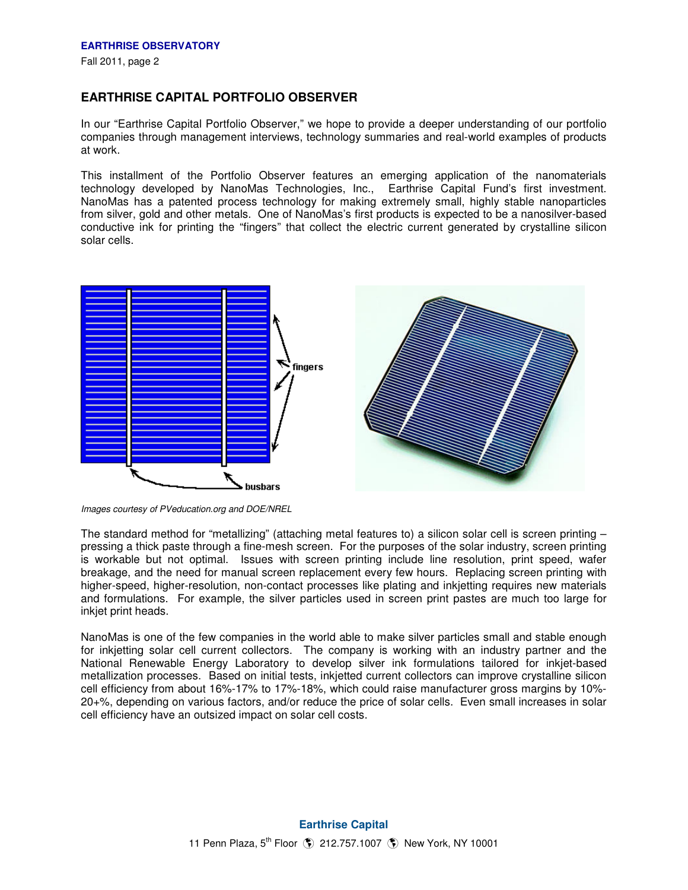## **EARTHRISE CAPITAL PORTFOLIO OBSERVER**

In our "Earthrise Capital Portfolio Observer," we hope to provide a deeper understanding of our portfolio companies through management interviews, technology summaries and real-world examples of products at work.

This installment of the Portfolio Observer features an emerging application of the nanomaterials technology developed by NanoMas Technologies, Inc., Earthrise Capital Fund's first investment. NanoMas has a patented process technology for making extremely small, highly stable nanoparticles from silver, gold and other metals. One of NanoMas's first products is expected to be a nanosilver-based conductive ink for printing the "fingers" that collect the electric current generated by crystalline silicon solar cells.



Images courtesy of PVeducation.org and DOE/NREL

The standard method for "metallizing" (attaching metal features to) a silicon solar cell is screen printing – pressing a thick paste through a fine-mesh screen. For the purposes of the solar industry, screen printing is workable but not optimal. Issues with screen printing include line resolution, print speed, wafer breakage, and the need for manual screen replacement every few hours. Replacing screen printing with higher-speed, higher-resolution, non-contact processes like plating and inkjetting requires new materials and formulations. For example, the silver particles used in screen print pastes are much too large for inkjet print heads.

NanoMas is one of the few companies in the world able to make silver particles small and stable enough for inkjetting solar cell current collectors. The company is working with an industry partner and the National Renewable Energy Laboratory to develop silver ink formulations tailored for inkjet-based metallization processes. Based on initial tests, inkjetted current collectors can improve crystalline silicon cell efficiency from about 16%-17% to 17%-18%, which could raise manufacturer gross margins by 10%- 20+%, depending on various factors, and/or reduce the price of solar cells. Even small increases in solar cell efficiency have an outsized impact on solar cell costs.